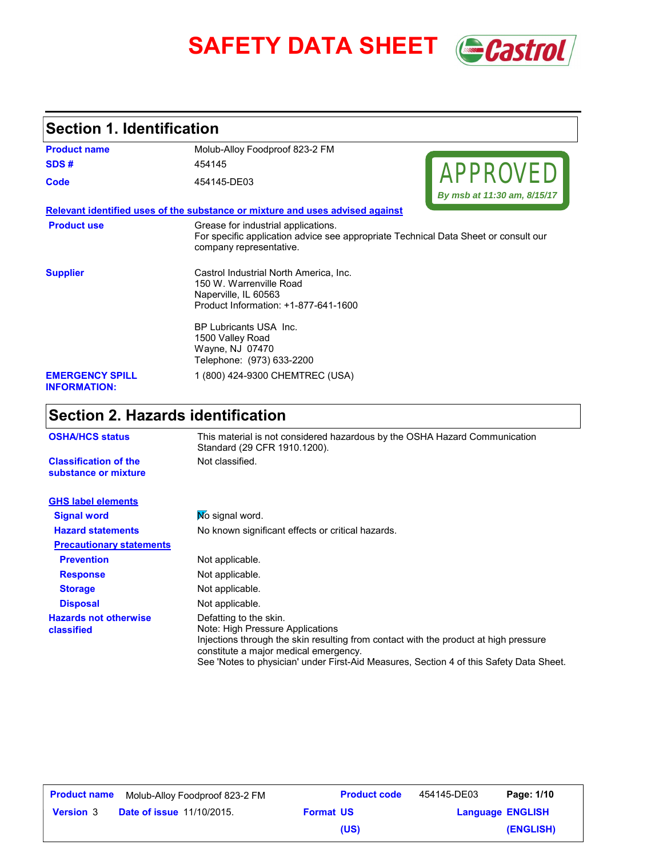

## **Section 1. Identification**

| <b>Product name</b>                                  | Molub-Alloy Foodproof 823-2 FM                                                                                                                        |  |
|------------------------------------------------------|-------------------------------------------------------------------------------------------------------------------------------------------------------|--|
| SDS#                                                 | 454145                                                                                                                                                |  |
| Code                                                 | <b>APPROVED</b><br>454145-DE03                                                                                                                        |  |
|                                                      | By msb at 11:30 am, 8/15/17                                                                                                                           |  |
|                                                      | Relevant identified uses of the substance or mixture and uses advised against                                                                         |  |
| <b>Product use</b>                                   | Grease for industrial applications.<br>For specific application advice see appropriate Technical Data Sheet or consult our<br>company representative. |  |
| <b>Supplier</b>                                      | Castrol Industrial North America, Inc.<br>150 W. Warrenville Road<br>Naperville, IL 60563<br>Product Information: +1-877-641-1600                     |  |
|                                                      | BP Lubricants USA Inc.<br>1500 Valley Road<br>Wayne, NJ 07470<br>Telephone: (973) 633-2200                                                            |  |
| <b>EMERGENCY SPILL</b><br><b>INFORMATION:</b>        | 1 (800) 424-9300 CHEMTREC (USA)                                                                                                                       |  |
| <b>Section 2. Hazards identification</b>             |                                                                                                                                                       |  |
| <b>OSHA/HCS status</b>                               | This material is not considered hazardous by the OSHA Hazard Communication<br>Standard (29 CFR 1910.1200).                                            |  |
| <b>Classification of the</b><br>substance or mixture | Not classified.                                                                                                                                       |  |
| <b>GHS label elements</b>                            |                                                                                                                                                       |  |

| . <u>.</u>                                 |                                                                                                                                                                                                                                                                                        |  |  |
|--------------------------------------------|----------------------------------------------------------------------------------------------------------------------------------------------------------------------------------------------------------------------------------------------------------------------------------------|--|--|
| <b>Signal word</b>                         | No signal word.                                                                                                                                                                                                                                                                        |  |  |
| <b>Hazard statements</b>                   | No known significant effects or critical hazards.                                                                                                                                                                                                                                      |  |  |
| <b>Precautionary statements</b>            |                                                                                                                                                                                                                                                                                        |  |  |
| <b>Prevention</b>                          | Not applicable.                                                                                                                                                                                                                                                                        |  |  |
| <b>Response</b>                            | Not applicable.                                                                                                                                                                                                                                                                        |  |  |
| <b>Storage</b>                             | Not applicable.                                                                                                                                                                                                                                                                        |  |  |
| <b>Disposal</b>                            | Not applicable.                                                                                                                                                                                                                                                                        |  |  |
| <b>Hazards not otherwise</b><br>classified | Defatting to the skin.<br>Note: High Pressure Applications<br>Injections through the skin resulting from contact with the product at high pressure<br>constitute a major medical emergency.<br>See 'Notes to physician' under First-Aid Measures, Section 4 of this Safety Data Sheet. |  |  |

| <b>Product name</b> | Molub-Alloy Foodproof 823-2 FM   |                  | <b>Product code</b> | 454145-DE03             | Page: 1/10 |
|---------------------|----------------------------------|------------------|---------------------|-------------------------|------------|
| <b>Version 3</b>    | <b>Date of issue 11/10/2015.</b> | <b>Format US</b> |                     | <b>Language ENGLISH</b> |            |
|                     |                                  |                  | (US)                |                         | (ENGLISH)  |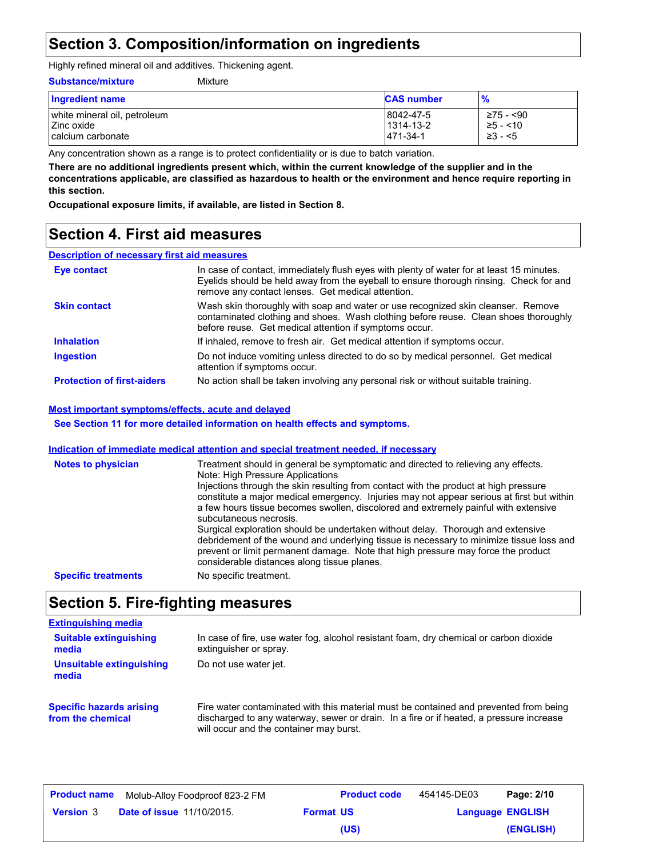## **Section 3. Composition/information on ingredients**

Highly refined mineral oil and additives. Thickening agent.

#### **Substance/mixture**

| Mixture |  |
|---------|--|

| <b>Ingredient name</b>       | <b>CAS number</b> | $\frac{9}{6}$ |
|------------------------------|-------------------|---------------|
| white mineral oil, petroleum | 8042-47-5         | ≥75 - <90     |
| Zinc oxide                   | 1314-13-2         | $≥5 - < 10$   |
| calcium carbonate            | 1471-34-1         | $\geq$ 3 - <5 |

Any concentration shown as a range is to protect confidentiality or is due to batch variation.

**There are no additional ingredients present which, within the current knowledge of the supplier and in the concentrations applicable, are classified as hazardous to health or the environment and hence require reporting in this section.**

**Occupational exposure limits, if available, are listed in Section 8.**

## **Section 4. First aid measures**

#### **Description of necessary first aid measures**

| <b>Eye contact</b>                | In case of contact, immediately flush eyes with plenty of water for at least 15 minutes.<br>Evelids should be held away from the eyeball to ensure thorough rinsing. Check for and<br>remove any contact lenses. Get medical attention. |
|-----------------------------------|-----------------------------------------------------------------------------------------------------------------------------------------------------------------------------------------------------------------------------------------|
| <b>Skin contact</b>               | Wash skin thoroughly with soap and water or use recognized skin cleanser. Remove<br>contaminated clothing and shoes. Wash clothing before reuse. Clean shoes thoroughly<br>before reuse. Get medical attention if symptoms occur.       |
| <b>Inhalation</b>                 | If inhaled, remove to fresh air. Get medical attention if symptoms occur.                                                                                                                                                               |
| <b>Ingestion</b>                  | Do not induce vomiting unless directed to do so by medical personnel. Get medical<br>attention if symptoms occur.                                                                                                                       |
| <b>Protection of first-aiders</b> | No action shall be taken involving any personal risk or without suitable training.                                                                                                                                                      |

#### **Most important symptoms/effects, acute and delayed**

**See Section 11 for more detailed information on health effects and symptoms.**

#### **Indication of immediate medical attention and special treatment needed, if necessary**

| <b>Notes to physician</b>  | Treatment should in general be symptomatic and directed to relieving any effects.<br>Note: High Pressure Applications<br>Injections through the skin resulting from contact with the product at high pressure<br>constitute a major medical emergency. Injuries may not appear serious at first but within<br>a few hours tissue becomes swollen, discolored and extremely painful with extensive<br>subcutaneous necrosis.<br>Surgical exploration should be undertaken without delay. Thorough and extensive<br>debridement of the wound and underlying tissue is necessary to minimize tissue loss and<br>prevent or limit permanent damage. Note that high pressure may force the product<br>considerable distances along tissue planes. |
|----------------------------|----------------------------------------------------------------------------------------------------------------------------------------------------------------------------------------------------------------------------------------------------------------------------------------------------------------------------------------------------------------------------------------------------------------------------------------------------------------------------------------------------------------------------------------------------------------------------------------------------------------------------------------------------------------------------------------------------------------------------------------------|
| <b>Specific treatments</b> | No specific treatment.                                                                                                                                                                                                                                                                                                                                                                                                                                                                                                                                                                                                                                                                                                                       |

### **Section 5. Fire-fighting measures**

#### **Extinguishing media**

| <b>Suitable extinguishing</b><br>media               | In case of fire, use water fog, alcohol resistant foam, dry chemical or carbon dioxide<br>extinguisher or spray.                                                                                                            |
|------------------------------------------------------|-----------------------------------------------------------------------------------------------------------------------------------------------------------------------------------------------------------------------------|
| Unsuitable extinguishing<br>media                    | Do not use water jet.                                                                                                                                                                                                       |
| <b>Specific hazards arising</b><br>from the chemical | Fire water contaminated with this material must be contained and prevented from being<br>discharged to any waterway, sewer or drain. In a fire or if heated, a pressure increase<br>will occur and the container may burst. |

| <b>Product name</b> | Molub-Alloy Foodproof 823-2 FM   |                  | <b>Product code</b> | 454145-DE03 | Page: 2/10              |
|---------------------|----------------------------------|------------------|---------------------|-------------|-------------------------|
| <b>Version 3</b>    | <b>Date of issue 11/10/2015.</b> | <b>Format US</b> |                     |             | <b>Language ENGLISH</b> |
|                     |                                  |                  | (US)                |             | (ENGLISH)               |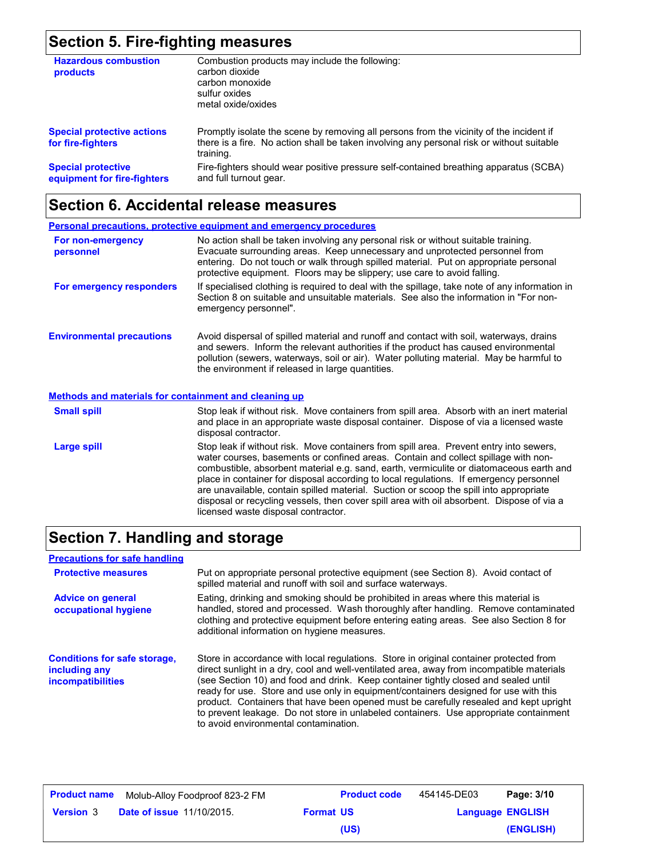# **Section 5. Fire-fighting measures**

| <b>Hazardous combustion</b><br>products                  | Combustion products may include the following:<br>carbon dioxide<br>carbon monoxide<br>sulfur oxides<br>metal oxide/oxides                                                                        |
|----------------------------------------------------------|---------------------------------------------------------------------------------------------------------------------------------------------------------------------------------------------------|
| <b>Special protective actions</b><br>for fire-fighters   | Promptly isolate the scene by removing all persons from the vicinity of the incident if<br>there is a fire. No action shall be taken involving any personal risk or without suitable<br>training. |
| <b>Special protective</b><br>equipment for fire-fighters | Fire-fighters should wear positive pressure self-contained breathing apparatus (SCBA)<br>and full turnout gear.                                                                                   |

## **Section 6. Accidental release measures**

|                                                              | <b>Personal precautions, protective equipment and emergency procedures</b>                                                                                                                                                                                                                                                                                                                                                                                                                                                                                                                      |
|--------------------------------------------------------------|-------------------------------------------------------------------------------------------------------------------------------------------------------------------------------------------------------------------------------------------------------------------------------------------------------------------------------------------------------------------------------------------------------------------------------------------------------------------------------------------------------------------------------------------------------------------------------------------------|
| For non-emergency<br>personnel                               | No action shall be taken involving any personal risk or without suitable training.<br>Evacuate surrounding areas. Keep unnecessary and unprotected personnel from<br>entering. Do not touch or walk through spilled material. Put on appropriate personal<br>protective equipment. Floors may be slippery; use care to avoid falling.                                                                                                                                                                                                                                                           |
| For emergency responders                                     | If specialised clothing is required to deal with the spillage, take note of any information in<br>Section 8 on suitable and unsuitable materials. See also the information in "For non-<br>emergency personnel".                                                                                                                                                                                                                                                                                                                                                                                |
| <b>Environmental precautions</b>                             | Avoid dispersal of spilled material and runoff and contact with soil, waterways, drains<br>and sewers. Inform the relevant authorities if the product has caused environmental<br>pollution (sewers, waterways, soil or air). Water polluting material. May be harmful to<br>the environment if released in large quantities.                                                                                                                                                                                                                                                                   |
| <b>Methods and materials for containment and cleaning up</b> |                                                                                                                                                                                                                                                                                                                                                                                                                                                                                                                                                                                                 |
| <b>Small spill</b>                                           | Stop leak if without risk. Move containers from spill area. Absorb with an inert material<br>and place in an appropriate waste disposal container. Dispose of via a licensed waste<br>disposal contractor.                                                                                                                                                                                                                                                                                                                                                                                      |
| Large spill                                                  | Stop leak if without risk. Move containers from spill area. Prevent entry into sewers,<br>water courses, basements or confined areas. Contain and collect spillage with non-<br>combustible, absorbent material e.g. sand, earth, vermiculite or diatomaceous earth and<br>place in container for disposal according to local regulations. If emergency personnel<br>are unavailable, contain spilled material. Suction or scoop the spill into appropriate<br>disposal or recycling vessels, then cover spill area with oil absorbent. Dispose of via a<br>licensed waste disposal contractor. |

# **Section 7. Handling and storage**

| <b>Precautions for safe handling</b>                                             |                                                                                                                                                                                                                                                                                                                                                                                                                                                                                                                                                                                               |
|----------------------------------------------------------------------------------|-----------------------------------------------------------------------------------------------------------------------------------------------------------------------------------------------------------------------------------------------------------------------------------------------------------------------------------------------------------------------------------------------------------------------------------------------------------------------------------------------------------------------------------------------------------------------------------------------|
| <b>Protective measures</b>                                                       | Put on appropriate personal protective equipment (see Section 8). Avoid contact of<br>spilled material and runoff with soil and surface waterways.                                                                                                                                                                                                                                                                                                                                                                                                                                            |
| <b>Advice on general</b><br>occupational hygiene                                 | Eating, drinking and smoking should be prohibited in areas where this material is<br>handled, stored and processed. Wash thoroughly after handling. Remove contaminated<br>clothing and protective equipment before entering eating areas. See also Section 8 for<br>additional information on hygiene measures.                                                                                                                                                                                                                                                                              |
| <b>Conditions for safe storage,</b><br>including any<br><b>incompatibilities</b> | Store in accordance with local regulations. Store in original container protected from<br>direct sunlight in a dry, cool and well-ventilated area, away from incompatible materials<br>(see Section 10) and food and drink. Keep container tightly closed and sealed until<br>ready for use. Store and use only in equipment/containers designed for use with this<br>product. Containers that have been opened must be carefully resealed and kept upright<br>to prevent leakage. Do not store in unlabeled containers. Use appropriate containment<br>to avoid environmental contamination. |

| <b>Product name</b> | Molub-Alloy Foodproof 823-2 FM   |                  | <b>Product code</b> | 454145-DE03             | Page: 3/10 |
|---------------------|----------------------------------|------------------|---------------------|-------------------------|------------|
| <b>Version 3</b>    | <b>Date of issue 11/10/2015.</b> | <b>Format US</b> |                     | <b>Language ENGLISH</b> |            |
|                     |                                  |                  | (US)                |                         | (ENGLISH)  |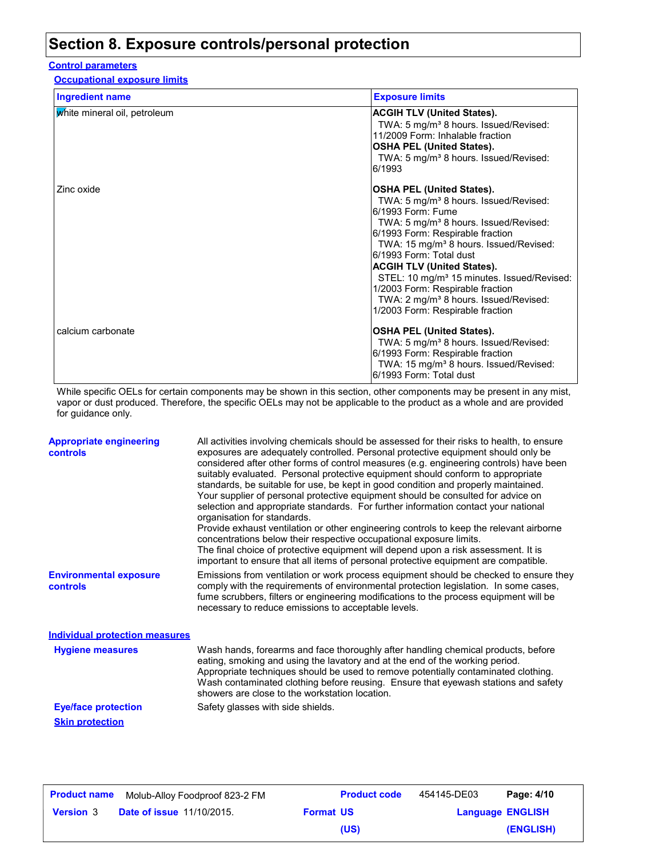## **Section 8. Exposure controls/personal protection**

#### **Control parameters**

**Occupational exposure limits**

| <b>Ingredient name</b>       | <b>Exposure limits</b>                                                                                                                                                                                                                                                                                                                                                                                                                                                                                           |
|------------------------------|------------------------------------------------------------------------------------------------------------------------------------------------------------------------------------------------------------------------------------------------------------------------------------------------------------------------------------------------------------------------------------------------------------------------------------------------------------------------------------------------------------------|
| white mineral oil, petroleum | <b>ACGIH TLV (United States).</b><br>TWA: 5 mg/m <sup>3</sup> 8 hours. Issued/Revised:<br>11/2009 Form: Inhalable fraction<br><b>OSHA PEL (United States).</b><br>TWA: 5 mg/m <sup>3</sup> 8 hours. Issued/Revised:<br>6/1993                                                                                                                                                                                                                                                                                    |
| Zinc oxide                   | <b>OSHA PEL (United States).</b><br>TWA: 5 mg/m <sup>3</sup> 8 hours. Issued/Revised:<br>6/1993 Form: Fume<br>TWA: 5 mg/m <sup>3</sup> 8 hours. Issued/Revised:<br>6/1993 Form: Respirable fraction<br>TWA: 15 mg/m <sup>3</sup> 8 hours. Issued/Revised:<br>6/1993 Form: Total dust<br><b>ACGIH TLV (United States).</b><br>STEL: 10 mg/m <sup>3</sup> 15 minutes. Issued/Revised:<br>1/2003 Form: Respirable fraction<br>TWA: 2 mg/m <sup>3</sup> 8 hours. Issued/Revised:<br>1/2003 Form: Respirable fraction |
| calcium carbonate            | <b>OSHA PEL (United States).</b><br>TWA: 5 mg/m <sup>3</sup> 8 hours. Issued/Revised:<br>6/1993 Form: Respirable fraction<br>TWA: 15 mg/m <sup>3</sup> 8 hours. Issued/Revised:<br>6/1993 Form: Total dust                                                                                                                                                                                                                                                                                                       |

While specific OELs for certain components may be shown in this section, other components may be present in any mist, vapor or dust produced. Therefore, the specific OELs may not be applicable to the product as a whole and are provided for guidance only.

| <b>Appropriate engineering</b><br>controls | All activities involving chemicals should be assessed for their risks to health, to ensure<br>exposures are adequately controlled. Personal protective equipment should only be<br>considered after other forms of control measures (e.g. engineering controls) have been<br>suitably evaluated. Personal protective equipment should conform to appropriate<br>standards, be suitable for use, be kept in good condition and properly maintained.<br>Your supplier of personal protective equipment should be consulted for advice on<br>selection and appropriate standards. For further information contact your national<br>organisation for standards.<br>Provide exhaust ventilation or other engineering controls to keep the relevant airborne<br>concentrations below their respective occupational exposure limits.<br>The final choice of protective equipment will depend upon a risk assessment. It is<br>important to ensure that all items of personal protective equipment are compatible. |
|--------------------------------------------|------------------------------------------------------------------------------------------------------------------------------------------------------------------------------------------------------------------------------------------------------------------------------------------------------------------------------------------------------------------------------------------------------------------------------------------------------------------------------------------------------------------------------------------------------------------------------------------------------------------------------------------------------------------------------------------------------------------------------------------------------------------------------------------------------------------------------------------------------------------------------------------------------------------------------------------------------------------------------------------------------------|
| <b>Environmental exposure</b><br>controls  | Emissions from ventilation or work process equipment should be checked to ensure they<br>comply with the requirements of environmental protection legislation. In some cases,<br>fume scrubbers, filters or engineering modifications to the process equipment will be<br>necessary to reduce emissions to acceptable levels.                                                                                                                                                                                                                                                                                                                                                                                                                                                                                                                                                                                                                                                                              |
| <b>Individual protection measures</b>      |                                                                                                                                                                                                                                                                                                                                                                                                                                                                                                                                                                                                                                                                                                                                                                                                                                                                                                                                                                                                            |
| <b>Hygiene measures</b>                    | Wash hands, forearms and face thoroughly after handling chemical products, before<br>eating, smoking and using the lavatory and at the end of the working period.<br>Appropriate techniques should be used to remove potentially contaminated clothing.<br>Wash contaminated clothing before reusing. Ensure that eyewash stations and safety<br>showers are close to the workstation location.                                                                                                                                                                                                                                                                                                                                                                                                                                                                                                                                                                                                            |
| <b>Eye/face protection</b>                 | Safety glasses with side shields.                                                                                                                                                                                                                                                                                                                                                                                                                                                                                                                                                                                                                                                                                                                                                                                                                                                                                                                                                                          |
| <b>Skin protection</b>                     |                                                                                                                                                                                                                                                                                                                                                                                                                                                                                                                                                                                                                                                                                                                                                                                                                                                                                                                                                                                                            |

| <b>Product name</b> | Molub-Alloy Foodproof 823-2 FM   |                  | <b>Product code</b> | 454145-DE03             | Page: 4/10 |
|---------------------|----------------------------------|------------------|---------------------|-------------------------|------------|
| <b>Version 3</b>    | <b>Date of issue 11/10/2015.</b> | <b>Format US</b> |                     | <b>Language ENGLISH</b> |            |
|                     |                                  |                  | (US)                |                         | (ENGLISH)  |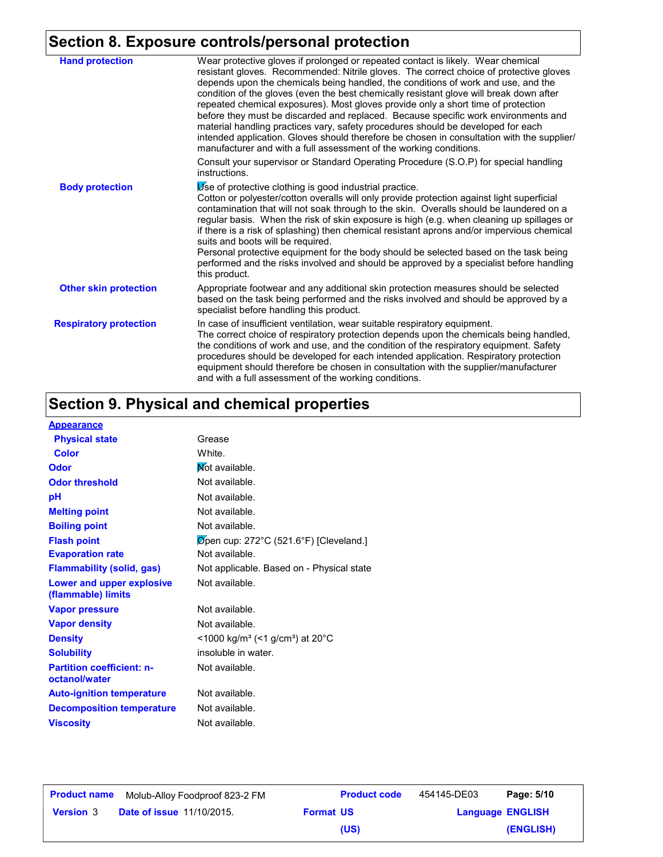# **Section 8. Exposure controls/personal protection**

| <b>Hand protection</b>        | Wear protective gloves if prolonged or repeated contact is likely. Wear chemical<br>resistant gloves. Recommended: Nitrile gloves. The correct choice of protective gloves<br>depends upon the chemicals being handled, the conditions of work and use, and the<br>condition of the gloves (even the best chemically resistant glove will break down after<br>repeated chemical exposures). Most gloves provide only a short time of protection<br>before they must be discarded and replaced. Because specific work environments and<br>material handling practices vary, safety procedures should be developed for each<br>intended application. Gloves should therefore be chosen in consultation with the supplier/<br>manufacturer and with a full assessment of the working conditions. |
|-------------------------------|-----------------------------------------------------------------------------------------------------------------------------------------------------------------------------------------------------------------------------------------------------------------------------------------------------------------------------------------------------------------------------------------------------------------------------------------------------------------------------------------------------------------------------------------------------------------------------------------------------------------------------------------------------------------------------------------------------------------------------------------------------------------------------------------------|
|                               | Consult your supervisor or Standard Operating Procedure (S.O.P) for special handling<br>instructions.                                                                                                                                                                                                                                                                                                                                                                                                                                                                                                                                                                                                                                                                                         |
| <b>Body protection</b>        | Use of protective clothing is good industrial practice.<br>Cotton or polyester/cotton overalls will only provide protection against light superficial<br>contamination that will not soak through to the skin. Overalls should be laundered on a<br>regular basis. When the risk of skin exposure is high (e.g. when cleaning up spillages or<br>if there is a risk of splashing) then chemical resistant aprons and/or impervious chemical<br>suits and boots will be required.<br>Personal protective equipment for the body should be selected based on the task being<br>performed and the risks involved and should be approved by a specialist before handling<br>this product.                                                                                                         |
| <b>Other skin protection</b>  | Appropriate footwear and any additional skin protection measures should be selected<br>based on the task being performed and the risks involved and should be approved by a<br>specialist before handling this product.                                                                                                                                                                                                                                                                                                                                                                                                                                                                                                                                                                       |
| <b>Respiratory protection</b> | In case of insufficient ventilation, wear suitable respiratory equipment.<br>The correct choice of respiratory protection depends upon the chemicals being handled,<br>the conditions of work and use, and the condition of the respiratory equipment. Safety<br>procedures should be developed for each intended application. Respiratory protection<br>equipment should therefore be chosen in consultation with the supplier/manufacturer<br>and with a full assessment of the working conditions.                                                                                                                                                                                                                                                                                         |

# **Section 9. Physical and chemical properties**

| <b>Appearance</b>                                 |                                                                            |
|---------------------------------------------------|----------------------------------------------------------------------------|
| <b>Physical state</b>                             | Grease                                                                     |
| Color                                             | White.                                                                     |
| Odor                                              | Mot available.                                                             |
| <b>Odor threshold</b>                             | Not available.                                                             |
| рH                                                | Not available.                                                             |
| <b>Melting point</b>                              | Not available.                                                             |
| <b>Boiling point</b>                              | Not available.                                                             |
| <b>Flash point</b>                                | Øpen cup: 272°C (521.6°F) [Cleveland.]                                     |
| <b>Evaporation rate</b>                           | Not available.                                                             |
| <b>Flammability (solid, gas)</b>                  | Not applicable. Based on - Physical state                                  |
| Lower and upper explosive<br>(flammable) limits   | Not available.                                                             |
| <b>Vapor pressure</b>                             | Not available.                                                             |
| <b>Vapor density</b>                              | Not available.                                                             |
| <b>Density</b>                                    | $\leq$ 1000 kg/m <sup>3</sup> (<1 g/cm <sup>3</sup> ) at 20 <sup>°</sup> C |
| <b>Solubility</b>                                 | insoluble in water.                                                        |
| <b>Partition coefficient: n-</b><br>octanol/water | Not available.                                                             |
| <b>Auto-ignition temperature</b>                  | Not available.                                                             |
| <b>Decomposition temperature</b>                  | Not available.                                                             |
| <b>Viscosity</b>                                  | Not available.                                                             |

| <b>Product name</b> | Molub-Alloy Foodproof 823-2 FM   |                  | <b>Product code</b> | 454145-DE03             | Page: 5/10 |
|---------------------|----------------------------------|------------------|---------------------|-------------------------|------------|
| <b>Version 3</b>    | <b>Date of issue 11/10/2015.</b> | <b>Format US</b> |                     | <b>Language ENGLISH</b> |            |
|                     |                                  |                  | (US)                |                         | (ENGLISH)  |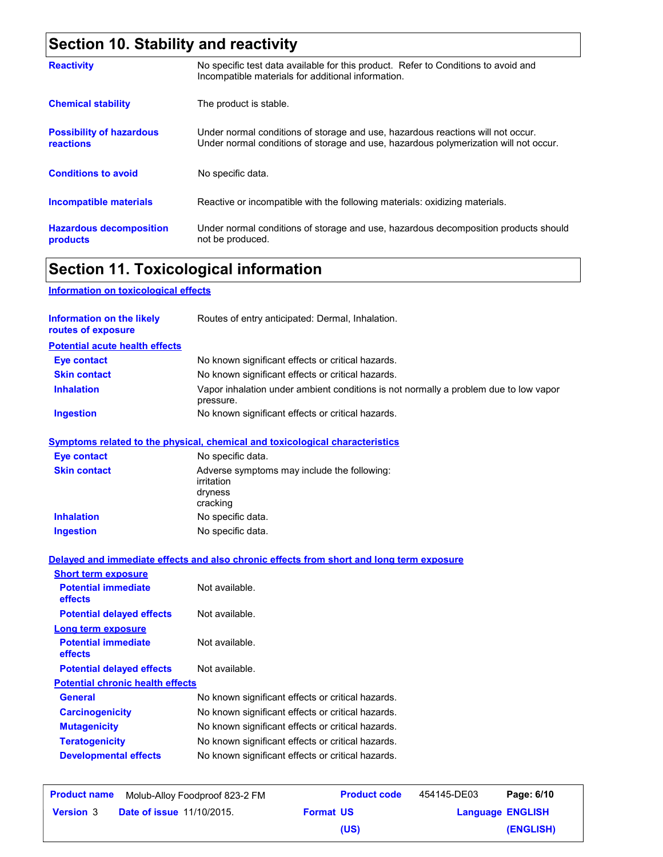# **Section 10. Stability and reactivity**

| <b>Reactivity</b>                            | No specific test data available for this product. Refer to Conditions to avoid and<br>Incompatible materials for additional information.                                |
|----------------------------------------------|-------------------------------------------------------------------------------------------------------------------------------------------------------------------------|
| <b>Chemical stability</b>                    | The product is stable.                                                                                                                                                  |
| <b>Possibility of hazardous</b><br>reactions | Under normal conditions of storage and use, hazardous reactions will not occur.<br>Under normal conditions of storage and use, hazardous polymerization will not occur. |
| <b>Conditions to avoid</b>                   | No specific data.                                                                                                                                                       |
| <b>Incompatible materials</b>                | Reactive or incompatible with the following materials: oxidizing materials.                                                                                             |
| <b>Hazardous decomposition</b><br>products   | Under normal conditions of storage and use, hazardous decomposition products should<br>not be produced.                                                                 |

# **Section 11. Toxicological information**

**Information on toxicological effects**

| <b>Information on the likely</b><br>routes of exposure | Routes of entry anticipated: Dermal, Inhalation.                                                  |
|--------------------------------------------------------|---------------------------------------------------------------------------------------------------|
| <b>Potential acute health effects</b>                  |                                                                                                   |
| <b>Eye contact</b>                                     | No known significant effects or critical hazards.                                                 |
| <b>Skin contact</b>                                    | No known significant effects or critical hazards.                                                 |
| <b>Inhalation</b>                                      | Vapor inhalation under ambient conditions is not normally a problem due to low vapor<br>pressure. |
| <b>Ingestion</b>                                       | No known significant effects or critical hazards.                                                 |
|                                                        | <b>Symptoms related to the physical, chemical and toxicological characteristics</b>               |
| <b>Eye contact</b>                                     | No specific data.                                                                                 |
| <b>Skin contact</b>                                    | Adverse symptoms may include the following:<br>irritation<br>dryness<br>cracking                  |
| <b>Inhalation</b>                                      | No specific data.                                                                                 |
| <b>Ingestion</b>                                       | No specific data.                                                                                 |
|                                                        | Delayed and immediate effects and also chronic effects from short and long term exposure          |
| <b>Short term exposure</b>                             |                                                                                                   |
| <b>Potential immediate</b><br>effects                  | Not available.                                                                                    |
| <b>Potential delayed effects</b>                       | Not available.                                                                                    |
| <b>Long term exposure</b>                              |                                                                                                   |
| <b>Potential immediate</b><br>effects                  | Not available.                                                                                    |
| <b>Potential delayed effects</b>                       | Not available.                                                                                    |
| <b>Potential chronic health effects</b>                |                                                                                                   |
| General                                                | No known significant effects or critical hazards.                                                 |
| <b>Carcinogenicity</b>                                 | No known significant effects or critical hazards.                                                 |
| <b>Mutagenicity</b>                                    | No known significant effects or critical hazards.                                                 |
| <b>Teratogenicity</b>                                  | No known significant effects or critical hazards.                                                 |
| <b>Developmental effects</b>                           | No known significant effects or critical hazards.                                                 |
|                                                        | $-1111 - 120$                                                                                     |

| <b>Product name</b> | Molub-Alloy Foodproof 823-2 FM   |                  | <b>Product code</b> | 454145-DE03             | Page: 6/10 |
|---------------------|----------------------------------|------------------|---------------------|-------------------------|------------|
| <b>Version</b> 3    | <b>Date of issue 11/10/2015.</b> | <b>Format US</b> |                     | <b>Language ENGLISH</b> |            |
|                     |                                  |                  | (US)                |                         | (ENGLISH)  |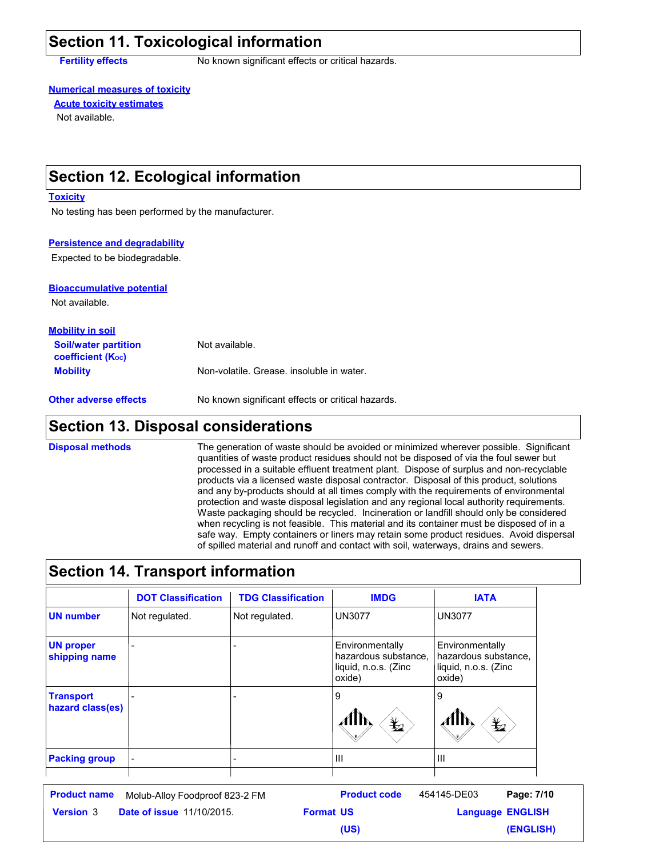### **Section 11. Toxicological information**

**Fertility effects** No known significant effects or critical hazards.

#### **Numerical measures of toxicity**

Not available. **Acute toxicity estimates**

### **Section 12. Ecological information**

#### **Toxicity**

No testing has been performed by the manufacturer.

#### **Persistence and degradability**

Expected to be biodegradable.

#### **Bioaccumulative potential**

Not available.

| <b>Mobility in soil</b>                                       |                                           |
|---------------------------------------------------------------|-------------------------------------------|
| <b>Soil/water partition</b><br>coefficient (K <sub>oc</sub> ) | Not available.                            |
| <b>Mobility</b>                                               | Non-volatile. Grease, insoluble in water. |

**Other adverse effects** No known significant effects or critical hazards.

### **Section 13. Disposal considerations**

The generation of waste should be avoided or minimized wherever possible. Significant quantities of waste product residues should not be disposed of via the foul sewer but processed in a suitable effluent treatment plant. Dispose of surplus and non-recyclable products via a licensed waste disposal contractor. Disposal of this product, solutions and any by-products should at all times comply with the requirements of environmental protection and waste disposal legislation and any regional local authority requirements. Waste packaging should be recycled. Incineration or landfill should only be considered when recycling is not feasible. This material and its container must be disposed of in a safe way. Empty containers or liners may retain some product residues. Avoid dispersal of spilled material and runoff and contact with soil, waterways, drains and sewers. **Disposal methods**

### **Section 14. Transport information**

|                                                                                                     | <b>DOT Classification</b>      | <b>TDG Classification</b> | <b>IMDG</b>                                                               | <b>IATA</b>                                                                                                                                                                                                                                                                                                                                                                                                                                                            |  |
|-----------------------------------------------------------------------------------------------------|--------------------------------|---------------------------|---------------------------------------------------------------------------|------------------------------------------------------------------------------------------------------------------------------------------------------------------------------------------------------------------------------------------------------------------------------------------------------------------------------------------------------------------------------------------------------------------------------------------------------------------------|--|
| <b>UN number</b>                                                                                    | Not regulated.                 | Not regulated.            | <b>UN3077</b>                                                             | <b>UN3077</b>                                                                                                                                                                                                                                                                                                                                                                                                                                                          |  |
| <b>UN proper</b><br>shipping name                                                                   |                                |                           | Environmentally<br>hazardous substance,<br>liquid, n.o.s. (Zinc<br>oxide) | Environmentally<br>hazardous substance,<br>liquid, n.o.s. (Zinc<br>oxide)                                                                                                                                                                                                                                                                                                                                                                                              |  |
| <b>Transport</b><br>hazard class(es)                                                                |                                |                           | 9<br>趁                                                                    | 9<br>$\mathbf{\underline{\mathscr{V}}}% =\mathbb{R}^{d}\times\mathbb{R}^{d}\times\mathbb{R}^{d}\times\mathbb{R}^{d}\times\mathbb{R}^{d}\times\mathbb{R}^{d}\times\mathbb{R}^{d}\times\mathbb{R}^{d}\times\mathbb{R}^{d}\times\mathbb{R}^{d}\times\mathbb{R}^{d}\times\mathbb{R}^{d}\times\mathbb{R}^{d}\times\mathbb{R}^{d}\times\mathbb{R}^{d}\times\mathbb{R}^{d}\times\mathbb{R}^{d}\times\mathbb{R}^{d}\times\mathbb{R}^{d}\times\mathbb{R}^{d}\times\mathbb{R}^{$ |  |
| <b>Packing group</b>                                                                                |                                |                           | Ш                                                                         | $\mathbf{III}$                                                                                                                                                                                                                                                                                                                                                                                                                                                         |  |
| <b>Product name</b>                                                                                 | Molub-Alloy Foodproof 823-2 FM |                           | <b>Product code</b>                                                       | 454145-DE03<br>Page: 7/10                                                                                                                                                                                                                                                                                                                                                                                                                                              |  |
| <b>Language ENGLISH</b><br><b>Date of issue 11/10/2015.</b><br><b>Format US</b><br><b>Version 3</b> |                                |                           |                                                                           |                                                                                                                                                                                                                                                                                                                                                                                                                                                                        |  |

**(US)**

**(ENGLISH)**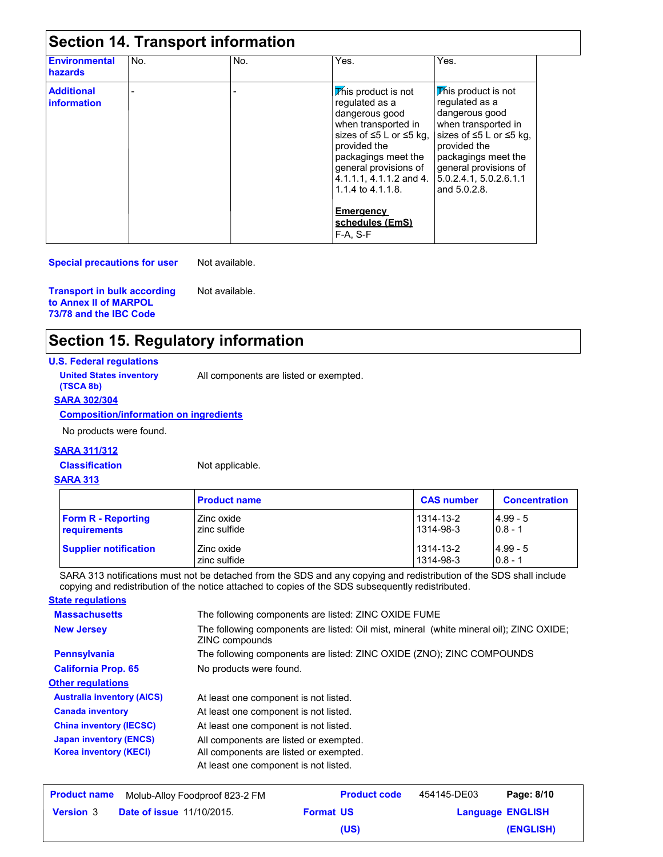| <b>Section 14. Transport information</b> |     |     |                                                                                                                                                                                                                                          |                                                                                                                                                                                                                                 |  |
|------------------------------------------|-----|-----|------------------------------------------------------------------------------------------------------------------------------------------------------------------------------------------------------------------------------------------|---------------------------------------------------------------------------------------------------------------------------------------------------------------------------------------------------------------------------------|--|
| <b>Environmental</b><br>hazards          | No. | No. | Yes.                                                                                                                                                                                                                                     | Yes.                                                                                                                                                                                                                            |  |
| <b>Additional</b><br><b>information</b>  |     |     | This product is not<br>requlated as a<br>dangerous good<br>when transported in<br>sizes of $\leq 5$ L or $\leq 5$ kg.<br>provided the<br>packagings meet the<br>general provisions of<br>4.1.1.1, 4.1.1.2 and 4.<br>1.1.4 to $4.1.1.8$ . | This product is not<br>requlated as a<br>dangerous good<br>when transported in<br>sizes of $\leq 5$ L or $\leq 5$ kg,<br>provided the<br>packagings meet the<br>general provisions of<br>5.0.2.4.1, 5.0.2.6.1.1<br>and 5.0.2.8. |  |
|                                          |     |     | <b>Emergency</b><br>schedules (EmS)<br>F-A. S-F                                                                                                                                                                                          |                                                                                                                                                                                                                                 |  |

**Special precautions for user** Not available.

**Transport in bulk according to Annex II of MARPOL 73/78 and the IBC Code**

Not available.

## **Section 15. Regulatory information**

#### **U.S. Federal regulations**

**(TSCA 8b)**

**United States inventory** All components are listed or exempted.

#### **SARA 302/304**

**Composition/information on ingredients**

No products were found.

#### **SARA 311/312**

**Classification** Not applicable.

#### **SARA 313**

|                              | <b>Product name</b> | <b>CAS number</b> | <b>Concentration</b> |
|------------------------------|---------------------|-------------------|----------------------|
| <b>Form R - Reporting</b>    | Zinc oxide          | 1314-13-2         | $14.99 - 5$          |
| requirements                 | zinc sulfide        | 1314-98-3         | $ 0.8 - 1$           |
| <b>Supplier notification</b> | Zinc oxide          | 1314-13-2         | $4.99 - 5$           |
|                              | zinc sulfide        | 1314-98-3         | $0.8 - 1$            |

SARA 313 notifications must not be detached from the SDS and any copying and redistribution of the SDS shall include copying and redistribution of the notice attached to copies of the SDS subsequently redistributed. **State regulations**

| <u>olale regulations</u>          |                                                                                                           |
|-----------------------------------|-----------------------------------------------------------------------------------------------------------|
| <b>Massachusetts</b>              | The following components are listed: ZINC OXIDE FUME                                                      |
| <b>New Jersey</b>                 | The following components are listed: Oil mist, mineral (white mineral oil); ZINC OXIDE;<br>ZINC compounds |
| <b>Pennsylvania</b>               | The following components are listed: ZINC OXIDE (ZNO); ZINC COMPOUNDS                                     |
| <b>California Prop. 65</b>        | No products were found.                                                                                   |
| <b>Other regulations</b>          |                                                                                                           |
| <b>Australia inventory (AICS)</b> | At least one component is not listed.                                                                     |
| <b>Canada inventory</b>           | At least one component is not listed.                                                                     |
| <b>China inventory (IECSC)</b>    | At least one component is not listed.                                                                     |
| <b>Japan inventory (ENCS)</b>     | All components are listed or exempted.                                                                    |
| <b>Korea inventory (KECI)</b>     | All components are listed or exempted.                                                                    |
|                                   | At least one component is not listed.                                                                     |
|                                   |                                                                                                           |

| <b>Product name</b> | Molub-Alloy Foodproof 823-2 FM   |                  | <b>Product code</b> | 454145-DE03 | Page: 8/10              |
|---------------------|----------------------------------|------------------|---------------------|-------------|-------------------------|
| <b>Version</b> 3    | <b>Date of issue 11/10/2015.</b> | <b>Format US</b> |                     |             | <b>Language ENGLISH</b> |
|                     |                                  |                  | (US)                |             | (ENGLISH)               |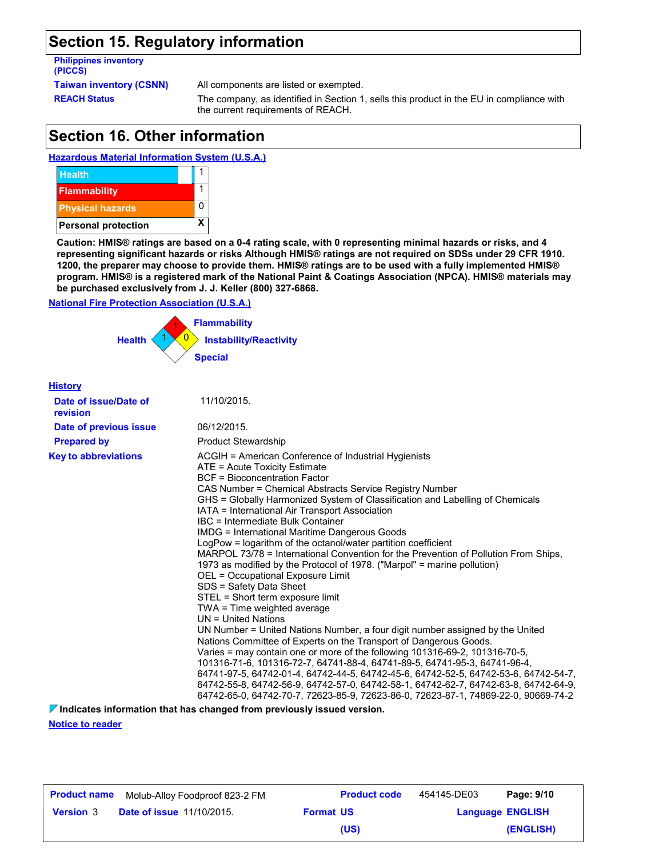### **Section 15. Regulatory information**

# **Philippines inventory (PICCS)**

**Taiwan inventory (CSNN)** All components are listed or exempted.

**REACH Status** The company, as identified in Section 1, sells this product in the EU in compliance with the current requirements of REACH.

### **Section 16. Other information**





**Caution: HMIS® ratings are based on a 0-4 rating scale, with 0 representing minimal hazards or risks, and 4 representing significant hazards or risks Although HMIS® ratings are not required on SDSs under 29 CFR 1910. 1200, the preparer may choose to provide them. HMIS® ratings are to be used with a fully implemented HMIS® program. HMIS® is a registered mark of the National Paint & Coatings Association (NPCA). HMIS® materials may be purchased exclusively from J. J. Keller (800) 327-6868.**

#### **National Fire Protection Association (U.S.A.)**



| <b>History</b>                    |                                                                                                                                                                                                                                                                                                                                                                                                                                                                                                                                                                                                                                                                                                                                                                                                                                                                                                                                                                                                                                                                                                                                                                                                                                                                                                                                                                                                             |
|-----------------------------------|-------------------------------------------------------------------------------------------------------------------------------------------------------------------------------------------------------------------------------------------------------------------------------------------------------------------------------------------------------------------------------------------------------------------------------------------------------------------------------------------------------------------------------------------------------------------------------------------------------------------------------------------------------------------------------------------------------------------------------------------------------------------------------------------------------------------------------------------------------------------------------------------------------------------------------------------------------------------------------------------------------------------------------------------------------------------------------------------------------------------------------------------------------------------------------------------------------------------------------------------------------------------------------------------------------------------------------------------------------------------------------------------------------------|
| Date of issue/Date of<br>revision | 11/10/2015.                                                                                                                                                                                                                                                                                                                                                                                                                                                                                                                                                                                                                                                                                                                                                                                                                                                                                                                                                                                                                                                                                                                                                                                                                                                                                                                                                                                                 |
| Date of previous issue            | 06/12/2015.                                                                                                                                                                                                                                                                                                                                                                                                                                                                                                                                                                                                                                                                                                                                                                                                                                                                                                                                                                                                                                                                                                                                                                                                                                                                                                                                                                                                 |
| <b>Prepared by</b>                | <b>Product Stewardship</b>                                                                                                                                                                                                                                                                                                                                                                                                                                                                                                                                                                                                                                                                                                                                                                                                                                                                                                                                                                                                                                                                                                                                                                                                                                                                                                                                                                                  |
| <b>Key to abbreviations</b>       | ACGIH = American Conference of Industrial Hygienists<br>ATE = Acute Toxicity Estimate<br><b>BCF</b> = Bioconcentration Factor<br>CAS Number = Chemical Abstracts Service Registry Number<br>GHS = Globally Harmonized System of Classification and Labelling of Chemicals<br>IATA = International Air Transport Association<br>IBC = Intermediate Bulk Container<br><b>IMDG = International Maritime Dangerous Goods</b><br>LogPow = logarithm of the octanol/water partition coefficient<br>MARPOL 73/78 = International Convention for the Prevention of Pollution From Ships,<br>1973 as modified by the Protocol of 1978. ("Marpol" = marine pollution)<br>OEL = Occupational Exposure Limit<br>SDS = Safety Data Sheet<br>STEL = Short term exposure limit<br>TWA = Time weighted average<br>UN = United Nations<br>UN Number = United Nations Number, a four digit number assigned by the United<br>Nations Committee of Experts on the Transport of Dangerous Goods.<br>Varies = may contain one or more of the following 101316-69-2, 101316-70-5,<br>101316-71-6, 101316-72-7, 64741-88-4, 64741-89-5, 64741-95-3, 64741-96-4,<br>64741-97-5, 64742-01-4, 64742-44-5, 64742-45-6, 64742-52-5, 64742-53-6, 64742-54-7,<br>64742-55-8, 64742-56-9, 64742-57-0, 64742-58-1, 64742-62-7, 64742-63-8, 64742-64-9,<br>64742-65-0, 64742-70-7, 72623-85-9, 72623-86-0, 72623-87-1, 74869-22-0, 90669-74-2 |

**Indicates information that has changed from previously issued version.**

**Notice to reader**

| <b>Product name</b> | Molub-Alloy Foodproof 823-2 FM   |                  | <b>Product code</b> | 454145-DE03             | Page: 9/10 |
|---------------------|----------------------------------|------------------|---------------------|-------------------------|------------|
| <b>Version 3</b>    | <b>Date of issue 11/10/2015.</b> | <b>Format US</b> |                     | <b>Language ENGLISH</b> |            |
|                     |                                  |                  | (US)                |                         | (ENGLISH)  |